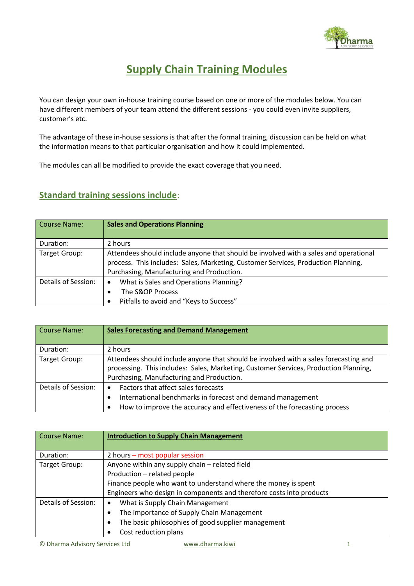

## **Supply Chain Training Modules**

You can design your own in-house training course based on one or more of the modules below. You can have different members of your team attend the different sessions - you could even invite suppliers, customer's etc.

The advantage of these in-house sessions is that after the formal training, discussion can be held on what the information means to that particular organisation and how it could implemented.

The modules can all be modified to provide the exact coverage that you need.

## **Standard training sessions include**:

| Course Name:        | <b>Sales and Operations Planning</b>                                                                                                                                                                                   |
|---------------------|------------------------------------------------------------------------------------------------------------------------------------------------------------------------------------------------------------------------|
| Duration:           | 2 hours                                                                                                                                                                                                                |
| Target Group:       | Attendees should include anyone that should be involved with a sales and operational<br>process. This includes: Sales, Marketing, Customer Services, Production Planning,<br>Purchasing, Manufacturing and Production. |
| Details of Session: | What is Sales and Operations Planning?<br>$\bullet$<br>The S&OP Process<br>Pitfalls to avoid and "Keys to Success"                                                                                                     |

| Course Name:        | <b>Sales Forecasting and Demand Management</b>                                                                                                                                                                            |
|---------------------|---------------------------------------------------------------------------------------------------------------------------------------------------------------------------------------------------------------------------|
| Duration:           | 2 hours                                                                                                                                                                                                                   |
| Target Group:       | Attendees should include anyone that should be involved with a sales forecasting and<br>processing. This includes: Sales, Marketing, Customer Services, Production Planning,<br>Purchasing, Manufacturing and Production. |
| Details of Session: | Factors that affect sales forecasts<br>$\bullet$<br>International benchmarks in forecast and demand management<br>$\bullet$<br>How to improve the accuracy and effectiveness of the forecasting process                   |

| Course Name:        | <b>Introduction to Supply Chain Management</b>                       |
|---------------------|----------------------------------------------------------------------|
| Duration:           | 2 hours – most popular session                                       |
| Target Group:       | Anyone within any supply chain - related field                       |
|                     | Production - related people                                          |
|                     | Finance people who want to understand where the money is spent       |
|                     | Engineers who design in components and therefore costs into products |
| Details of Session: | What is Supply Chain Management<br>$\bullet$                         |
|                     | The importance of Supply Chain Management<br>٠                       |
|                     | The basic philosophies of good supplier management<br>$\bullet$      |
|                     | Cost reduction plans                                                 |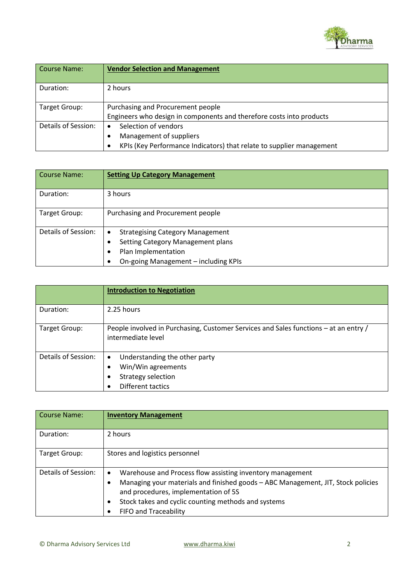

| Course Name:        | <b>Vendor Selection and Management</b>                                    |
|---------------------|---------------------------------------------------------------------------|
| Duration:           | 2 hours                                                                   |
| Target Group:       | Purchasing and Procurement people                                         |
|                     | Engineers who design in components and therefore costs into products      |
| Details of Session: | Selection of vendors                                                      |
|                     | Management of suppliers                                                   |
|                     | KPIs (Key Performance Indicators) that relate to supplier management<br>٠ |

| <b>Course Name:</b> | <b>Setting Up Category Management</b>                                                                                                            |
|---------------------|--------------------------------------------------------------------------------------------------------------------------------------------------|
| Duration:           | 3 hours                                                                                                                                          |
| Target Group:       | Purchasing and Procurement people                                                                                                                |
| Details of Session: | <b>Strategising Category Management</b><br>٠<br>Setting Category Management plans<br>Plan Implementation<br>On-going Management - including KPIs |

|                     | <b>Introduction to Negotiation</b>                                                                                    |
|---------------------|-----------------------------------------------------------------------------------------------------------------------|
| Duration:           | 2.25 hours                                                                                                            |
| Target Group:       | People involved in Purchasing, Customer Services and Sales functions – at an entry /<br>intermediate level            |
| Details of Session: | Understanding the other party<br>$\bullet$<br>Win/Win agreements<br>Strategy selection<br>٠<br>Different tactics<br>٠ |

| Course Name:        | <b>Inventory Management</b>                                                                                                                                                                                                                                                                               |
|---------------------|-----------------------------------------------------------------------------------------------------------------------------------------------------------------------------------------------------------------------------------------------------------------------------------------------------------|
| Duration:           | 2 hours                                                                                                                                                                                                                                                                                                   |
| Target Group:       | Stores and logistics personnel                                                                                                                                                                                                                                                                            |
| Details of Session: | Warehouse and Process flow assisting inventory management<br>$\bullet$<br>Managing your materials and finished goods - ABC Management, JIT, Stock policies<br>$\bullet$<br>and procedures, implementation of 5S<br>Stock takes and cyclic counting methods and systems<br>٠<br>FIFO and Traceability<br>٠ |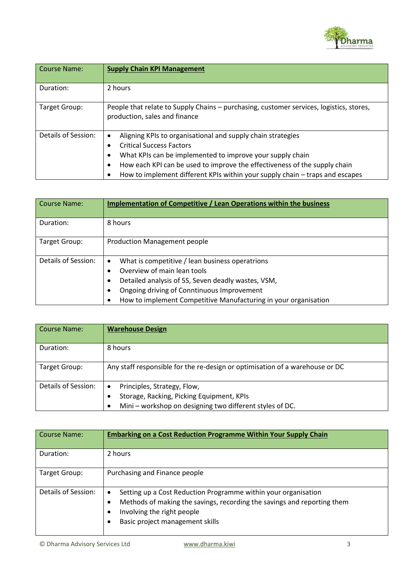

| <b>Course Name:</b> | <b>Supply Chain KPI Management</b>                                                                                                                                                                                                                                                                                                                   |
|---------------------|------------------------------------------------------------------------------------------------------------------------------------------------------------------------------------------------------------------------------------------------------------------------------------------------------------------------------------------------------|
| Duration:           | 2 hours                                                                                                                                                                                                                                                                                                                                              |
| Target Group:       | People that relate to Supply Chains - purchasing, customer services, logistics, stores,<br>production, sales and finance                                                                                                                                                                                                                             |
| Details of Session: | Aligning KPIs to organisational and supply chain strategies<br>$\bullet$<br><b>Critical Success Factors</b><br>What KPIs can be implemented to improve your supply chain<br>٠<br>How each KPI can be used to improve the effectiveness of the supply chain<br>٠<br>How to implement different KPIs within your supply chain - traps and escapes<br>٠ |

| <b>Course Name:</b> | <b>Implementation of Competitive / Lean Operations within the business</b>                  |
|---------------------|---------------------------------------------------------------------------------------------|
| Duration:           | 8 hours                                                                                     |
| Target Group:       | <b>Production Management people</b>                                                         |
| Details of Session: | What is competitive / lean business operatrions<br>$\bullet$<br>Overview of main lean tools |
|                     | Detailed analysis of 5S, Seven deadly wastes, VSM,<br>٠                                     |
|                     | Ongoing driving of Conntinuous Improvement<br>٠                                             |
|                     | How to implement Competitive Manufacturing in your organisation                             |

| Course Name:        | <b>Warehouse Design</b>                                                                                                                             |
|---------------------|-----------------------------------------------------------------------------------------------------------------------------------------------------|
| Duration:           | 8 hours                                                                                                                                             |
| Target Group:       | Any staff responsible for the re-design or optimisation of a warehouse or DC                                                                        |
| Details of Session: | Principles, Strategy, Flow,<br>٠<br>Storage, Racking, Picking Equipment, KPIs<br>٠<br>Mini - workshop on designing two different styles of DC.<br>٠ |

| Course Name:        | <b>Embarking on a Cost Reduction Programme Within Your Supply Chain</b>                                                                                                                                                           |
|---------------------|-----------------------------------------------------------------------------------------------------------------------------------------------------------------------------------------------------------------------------------|
| Duration:           | 2 hours                                                                                                                                                                                                                           |
| Target Group:       | Purchasing and Finance people                                                                                                                                                                                                     |
| Details of Session: | Setting up a Cost Reduction Programme within your organisation<br>$\bullet$<br>Methods of making the savings, recording the savings and reporting them<br>٠<br>Involving the right people<br>٠<br>Basic project management skills |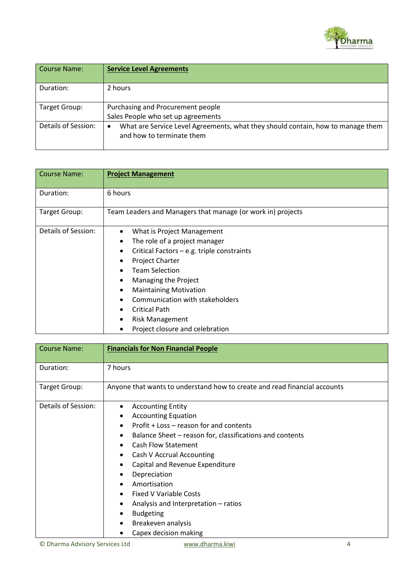

| Course Name:        | <b>Service Level Agreements</b>                                                                                           |
|---------------------|---------------------------------------------------------------------------------------------------------------------------|
| Duration:           | 2 hours                                                                                                                   |
| Target Group:       | Purchasing and Procurement people<br>Sales People who set up agreements                                                   |
| Details of Session: | What are Service Level Agreements, what they should contain, how to manage them<br>$\bullet$<br>and how to terminate them |

| <b>Course Name:</b> | <b>Project Management</b>                                                                                                                                                                                                                                                                                                                                                 |
|---------------------|---------------------------------------------------------------------------------------------------------------------------------------------------------------------------------------------------------------------------------------------------------------------------------------------------------------------------------------------------------------------------|
| Duration:           | 6 hours                                                                                                                                                                                                                                                                                                                                                                   |
| Target Group:       | Team Leaders and Managers that manage (or work in) projects                                                                                                                                                                                                                                                                                                               |
| Details of Session: | What is Project Management<br>$\bullet$<br>The role of a project manager<br>٠<br>Critical Factors - e.g. triple constraints<br><b>Project Charter</b><br><b>Team Selection</b><br>Managing the Project<br><b>Maintaining Motivation</b><br>٠<br>Communication with stakeholders<br><b>Critical Path</b><br><b>Risk Management</b><br>٠<br>Project closure and celebration |

| <b>Course Name:</b> | <b>Financials for Non Financial People</b>                                |
|---------------------|---------------------------------------------------------------------------|
| Duration:           | 7 hours                                                                   |
| Target Group:       | Anyone that wants to understand how to create and read financial accounts |
| Details of Session: | <b>Accounting Entity</b><br>٠                                             |
|                     | <b>Accounting Equation</b>                                                |
|                     | Profit + Loss – reason for and contents                                   |
|                     | Balance Sheet - reason for, classifications and contents<br>٠             |
|                     | <b>Cash Flow Statement</b>                                                |
|                     | Cash V Accrual Accounting                                                 |
|                     | Capital and Revenue Expenditure                                           |
|                     | Depreciation                                                              |
|                     | Amortisation                                                              |
|                     | <b>Fixed V Variable Costs</b>                                             |
|                     | Analysis and Interpretation - ratios                                      |
|                     | <b>Budgeting</b><br>٠                                                     |
|                     | Breakeven analysis                                                        |
|                     | Capex decision making                                                     |